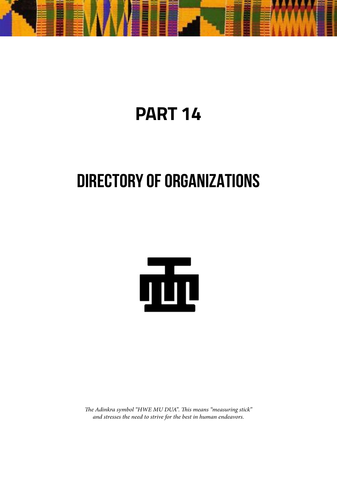

# **PART 14**

# **DIRECTORY OF ORGANIZATIONS**



*The Adinkra symbol "HWE MU DUA". This means "measuring stick" and stresses the need to strive for the best in human endeavors.*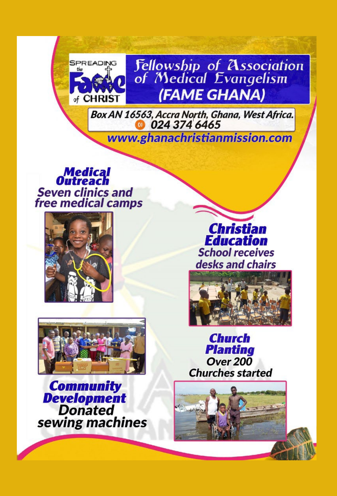

**Fellowship of Association**<br>of Medical Evangelism (FAME GHANA)

Box AN 16563, Accra North, Ghana, West Africa.

www.ghanachristianmission.com

**Medical**<br>Outreach **Seven clinics and** free medical camps



**Christian Education School receives** desks and chairs





**Community<br>
Development**<br>
Donated sewing machines

**Church Planting Over 200 Churches started**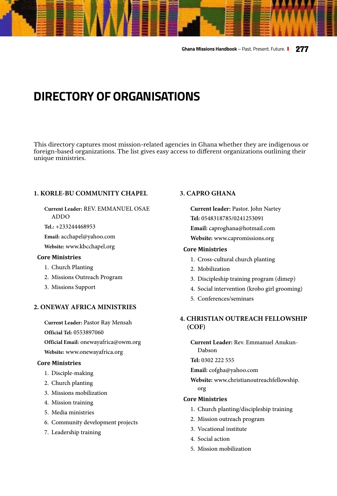**Ghana Missions Handbook** – Past. Present. Future. **277**

# **DIRECTORY OF ORGANISATIONS**

This directory captures most mission-related agencies in Ghana whether they are indigenous or foreign-based organizations. The list gives easy access to different organizations outlining their unique ministries.

# **[1. KORLE-BU COMMUNITY CHAPEL](http://www.kbcchapel.org )**

**Current Leader:** REV. EMMANUEL OSAE ADDO

**Tel.:** +233244468953

**Email:** acchapel@yahoo.com

**Website:** [www.kbcchapel.org](http://www.kbcchapel.org )

### **Core Ministries**

- 1. Church Planting
- 2. Missions Outreach Program
- 3. Missions Support

# **[2. ONEWAY AFRICA MINISTRIES](http://www.onewayafrica.org)**

**Current Leader:** Pastor Ray Mensah **Official Tel:** 0553897060 **Official Email:** onewayafrica@owm.org **Website:** [www.onewayafrica.org](http://www.onewayafrica.org)

# **Core Ministries**

- 1. Disciple-making
- 2. Church planting
- 3. Missions mobilization
- 4. Mission training
- 5. Media ministries
- 6. Community development projects
- 7. Leadership training

# **[3. CAPRO GHANA](http:// www.capromissions.org)**

**Current leader:** Pastor. John Nartey **Tel:** 0548318785/0241253091 **Email:** caproghana@hotmail.com **Website:** [www.capromissions.org](http:// www.capromissions.org)

# **Core Ministries**

- 1. Cross-cultural church planting
- 2. Mobilization
- 3. Discipleship training program (dimep)
- 4. Social intervention (krobo girl grooming)
- 5. Conferences/seminars

# **[4. CHRISTIAN OUTREACH FELLOWSHIP](http://www.christianoutreachfellowship.org)  [\(COF\)](http://www.christianoutreachfellowship.org)**

**Current Leader:** Rev. Emmanuel Anukun-Dabson

**Tel:** 0302 222 555

**Email:** cofgha@yahoo.com

**Website:** [www.christianoutreachfellowship.](http://www.christianoutreachfellowship.org) [org](http://www.christianoutreachfellowship.org)

- 1. Church planting/discipleship training
- 2. Mission outreach program
- 3. Vocational institute
- 4. Social action
- 5. Mission mobilization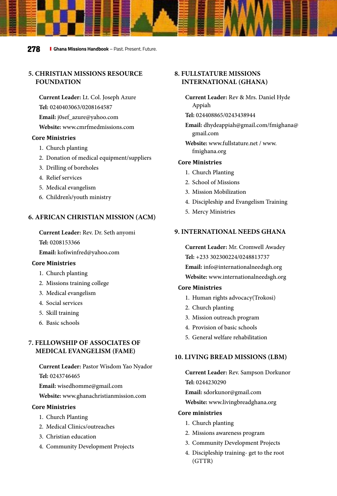# **[5. CHRISTIAN MISSIONS RESOURCE](http://www.cmrfmedmissions.com )  [FOUNDATION](http://www.cmrfmedmissions.com )**

**Current Leader:** Lt. Col. Joseph Azure **Tel:** 0240403063/0208164587 **Email:** j0sef\_azure@yahoo.com **Website:** [www.cmrfmedmissions.com](http://www.cmrfmedmissions.com )

#### **Core Ministries**

- 1. Church planting
- 2. Donation of medical equipment/suppliers
- 3. Drilling of boreholes
- 4. Relief services
- 5. Medical evangelism
- 6. Children's/youth ministry

#### **6. AFRICAN CHRISTIAN MISSION (ACM)**

**Current Leader:** Rev. Dr. Seth anyomi **Tel:** 0208153366

**Email:** kofiwinfred@yahoo.com

#### **Core Ministries**

- 1. Church planting
- 2. Missions training college
- 3. Medical evangelism
- 4. Social services
- 5. Skill training
- 6. Basic schools

# **[7. FELLOWSHIP OF ASSOCIATES OF](http://www.ghanachristianmission.com )  [MEDICAL EVANGELISM \(FAME\)](http://www.ghanachristianmission.com )**

**Current Leader:** Pastor Wisdom Yao Nyador

**Tel:** 0243746465

**Email:** wisedhomme@gmail.com

**Website:** [www.ghanachristianmission.com](http://www.ghanachristianmission.com )

#### **Core Ministries**

- 1. Church Planting
- 2. Medical Clinics/outreaches
- 3. Christian education
- 4. Community Development Projects

# **[8. FULLSTATURE MISSIONS](http://www.fullstature.net)  [INTERNATIONAL \(GHANA\)](http://www.fullstature.net)**

- **Current Leader:** Rev & Mrs. Daniel Hyde Appiah
- **Tel:** 024408865/0243438944
- **Email:** dhydeappiah@gmail.com/fmighana@ gmail.com
- **Website:** [www.fullstature.net](http://www.fullstature.net) / [www.](http://www.fmighana.org ) [fmighana.org](http://www.fmighana.org )

#### **Core Ministries**

- 1. Church Planting
- 2. School of Missions
- 3. Mission Mobilization
- 4. Discipleship and Evangelism Training
- 5. Mercy Ministries

#### **[9. INTERNATIONAL NEEDS GHANA](http://www.internationalneedsgh.org )**

**Current Leader:** Mr. Cromwell Awadey **Tel:** +233 302300224/0248813737 **Email:** info@internationalneedsgh.org

**Website:** [www.internationalneedsgh.org](http://www.internationalneedsgh.org )

#### **Core Ministries**

- 1. Human rights advocacy(Trokosi)
- 2. Church planting
- 3. Mission outreach program
- 4. Provision of basic schools
- 5. General welfare rehabilitation

#### **[10. LIVING BREAD MISSIONS \(LBM\)](http://www.livingbreadghana.org )**

**Current Leader:** Rev. Sampson Dorkunor **Tel:** 0244230290

**Email:** sdorkunor@gmail.com

**Website:** [www.livingbreadghana.org](http://www.livingbreadghana.org )

- 1. Church planting
- 2. Missions awareness program
- 3. Community Development Projects
- 4. Discipleship training- get to the root (GTTR)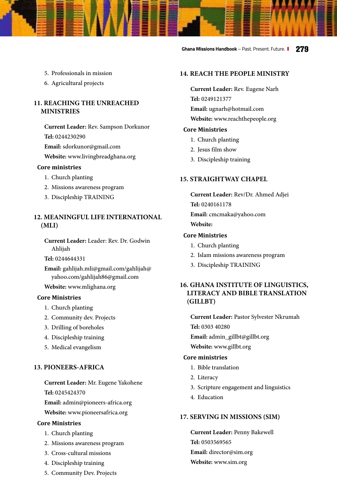- 5. Professionals in mission
- 6. Agricultural projects

# **11. REACHING THE UNREACHED MINISTRIES**

**Current Leader:** Rev. Sampson Dorkunor **Tel:** 0244230290 **Email:** sdorkunor@gmail.com

**Website:** www.livingbreadghana.org

## **Core ministries**

- 1. Church planting
- 2. Missions awareness program
- 3. Discipleship TRAINING

# **12. MEANINGFUL LIFE INTERNATIONAL (MLI)**

**Current Leader:** Leader: Rev. Dr. Godwin Ahlijah

**Tel:** 0244644331

**Email:** gahlijah.mli@gmail.com/gahlijah@ yahoo.com/gahlijah86@gmail.com

**Website:** www.mlighana.org

#### **Core Ministries**

- 1. Church planting
- 2. Community dev. Projects
- 3. Drilling of boreholes
- 4. Discipleship training
- 5. Medical evangelism

# **[13. PIONEERS-AFRICA](http://www.pioneersafrica.org )**

**Current Leader:** Mr. Eugene Yakohene

**Tel:** 0245424370

**Email:** admin@pioneers-africa.org

**Website:** [www.pioneersafrica.org](http://www.pioneersafrica.org )

#### **Core Ministries**

- 1. Church planting
- 2. Missions awareness program
- 3. Cross-cultural missions
- 4. Discipleship training
- 5. Community Dev. Projects

# **14. REACH THE PEOPLE MINISTRY**

- **Current Leader:** Rev. Eugene Narh **Tel:** 0249121377
- **Email:** ugnarh@hotmail.com

**Website:** www.reachthepeople.org

## **Core Ministries**

- 1. Church planting
- 2. Jesus film show
- 3. Discipleship training

# **15. STRAIGHTWAY CHAPEL**

**Current Leader:** Rev/Dr. Ahmed Adjei **Tel:** 0240161178 **Email:** cmcmaka@yahoo.com **Website:**

## **Core Ministries**

- 1. Church planting
- 2. Islam missions awareness program
- 3. Discipleship TRAINING

# **[16. GHANA INSTITUTE OF LINGUISTICS,](http://www.gillbt.org)  [LITERACY AND BIBLE TRANSLATION](http://www.gillbt.org)  [\(GILLBT\)](http://www.gillbt.org)**

**Current Leader:** Pastor Sylvester Nkrumah **Tel:** 0303 40280

**Email:** admin\_gillbt@gillbt.org

**Website:** [www.gillbt.org](http://www.gillbt.org)

## **Core ministries**

- 1. Bible translation
- 2. Literacy
- 3. Scripture engagement and linguistics
- 4. Education

# **[17. SERVING IN MISSIONS \(SIM\)](http://www.sim.org )**

**Current Leader:** Penny Bakewell **Tel:** 0503569565 **Email:** director@sim.org **Website:** [www.sim.org](http://www.sim.org )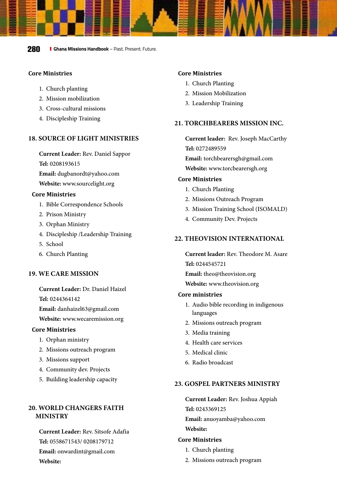**280 I** Ghana Missions Handbook – Past. Present. Future.

### **Core Ministries**

- 1. Church planting
- 2. Mission mobilization
- 3. Cross-cultural missions
- 4. Discipleship Training

# **[18. SOURCE OF LIGHT MINISTRIES](http://www.sourcelight.org )**

**Current Leader:** Rev. Daniel Sappor

#### **Tel:** 0208193615

**Email:** dugbanordt@yahoo.com

**Website:** [www.sourcelight.org](http://www.sourcelight.org )

#### **Core Ministries**

- 1. Bible Correspondence Schools
- 2. Prison Ministry
- 3. Orphan Ministry
- 4. Discipleship /Leadership Training
- 5. School
- 6. Church Planting

# **[19. WE CARE MISSION](http://www.wecaremission.org)**

**Current Leader:** Dr. Daniel Haizel

**Tel:** 0244364142

**Email:** danhaizel63@gmail.com

**Website:** [www.wecaremission.org](http://www.wecaremission.org)

# **Core Ministries**

- 1. Orphan ministry
- 2. Missions outreach program
- 3. Missions support
- 4. Community dev. Projects
- 5. Building leadership capacity

# **20. WORLD CHANGERS FAITH MINISTRY**

**Current Leader:** Rev. Sitsofe Adafia **Tel:** 0558671543/ 0208179712 **Email:** onwardint@gmail.com **Website:**

# **Core Ministries**

- 1. Church Planting
- 2. Mission Mobilization
- 3. Leadership Training

#### **[21. TORCHBEARERS MISSION INC.](http://www.torcbearersgh.org )**

**Current leader:** Rev. Joseph MacCarthy **Tel:** 0272489559

**Email:** torchbearersgh@gmail.com **Website:** [www.torcbearersgh.org](http://www.torcbearersgh.org )

# **Core Ministries**

- 1. Church Planting
- 2. Missions Outreach Program
- 3. Mission Training School (ISOMALD)
- 4. Community Dev. Projects

#### **[22. THEOVISION INTERNATIONAL](http://www.theovision.org )**

**Current leader:** Rev. Theodore M. Asare **Tel:** 0244545721

**Email:** theo@theovision.org

**Website:** [www.theovision.org](http://www.theovision.org ) 

#### **Core ministries**

- 1. Audio bible recording in indigenous languages
- 2. Missions outreach program
- 3. Media training
- 4. Health care services
- 5. Medical clinic
- 6. Radio broadcast

#### **23. GOSPEL PARTNERS MINISTRY**

**Current Leader:** Rev. Joshua Appiah **Tel:** 0243369125 **Email:** anuoyamba@yahoo.com **Website:**

- 1. Church planting
- 2. Missions outreach program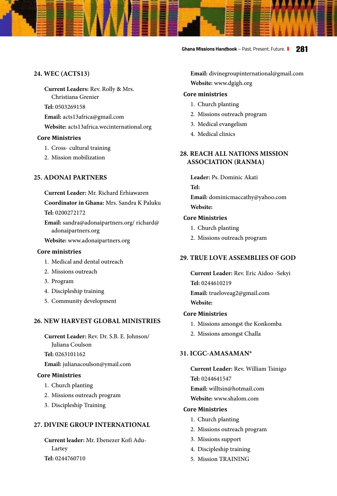**Ghana Missions Handbook** – Past. Present. Future. **281**

# **[24. WEC \(ACTS13\)](http://acts13africa.wecinternational.org )**

**Current Leaders:** Rev. Rolly & Mrs.

Christiana Grenier

**Tel:** 0503269158

**Email:** acts13africa@gmail.com

**Website:** [acts13africa.wecinternational.org](http://acts13africa.wecinternational.org )

# **Core Ministries**

- 1. Cross- cultural training
- 2. Mission mobilization

# **[25. ADONAI PARTNERS](http://www.adonaipartners.org )**

**Current Leader:** Mr. Richard Erhiawaren

**Coordinator in Ghana:** Mrs. Sandra K Paluku

**Tel:** 0200272172

**Email:** sandra@adonaipartners.org/ richard@ adonaipartners.org

**Website:** [www.adonaipartners.org](http://www.adonaipartners.org )

#### **Core ministries**

- 1. Medical and dental outreach
- 2. Missions outreach
- 3. Program
- 4. Discipleship training
- 5. Community development

# **26. NEW HARVEST GLOBAL MINISTRIES**

**Current Leader:** Rev. Dr. S.B. E. Johnson/ Juliana Coulson

**Tel:** 0263101162

**Email:** julianacoulson@ymail.com

# **Core Ministries**

- 1. Church planting
- 2. Missions outreach program
- 3. Discipleship Training

# **[27. DIVINE GROUP INTERNATIONAL](http://www.dgigh.org)**

**Current leader:** Mr. Ebenezer Kofi Adu-Lartey **Tel:** 0244760710

**Email:** divinegroupinternational@gmail.com **Website:** [www.dgigh.org](http://www.dgigh.org)

## **Core ministries**

- 1. Church planting
- 2. Missions outreach program
- 3. Medical evangelism
- 4. Medical clinics

# **28. REACH ALL NATIONS MISSION ASSOCIATION (RANMA)**

**Leader:** Ps. Dominic Akati **Tel: Email:** dominicmaccathy@yahoo.com

**Website:** 

# **Core Ministries**

- 1. Church planting
- 2. Missions outreach program

# **29. TRUE LOVE ASSEMBLIES OF GOD**

**Current Leader:** Rev. Eric Aidoo -Sekyi **Tel:** 0244610219 **Email:** trueloveag2@gmail.com **Website:**

# **Core Ministries**

- 1. Missions amongst the Konkomba
- 2. Missions amongst Challa

# **[31. ICGC-AMASAMAN\\*](http://www.shalom.com )**

**Current Leader:** Rev. William Tsinigo **Tel:** 0244641547 **Email:** willtsin@hotmail.com **Website:** [www.shalom.com](http://www.shalom.com ) 

- 1. Church planting
- 2. Missions outreach program
- 3. Missions support
- 4. Discipleship training
- 5. Mission TRAINING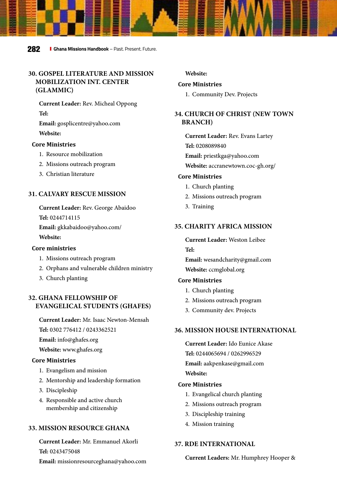# **30. GOSPEL LITERATURE AND MISSION MOBILIZATION INT. CENTER (GLAMMIC)**

**Current Leader:** Rev. Micheal Oppong **Tel:** 

**Email:** gosplicentre@yahoo.com **Website:**

#### **Core Ministries**

- 1. Resource mobilization
- 2. Missions outreach program
- 3. Christian literature

# **31. CALVARY RESCUE MISSION**

**Current Leader:** Rev. George Abaidoo

**Tel:** 0244714115

**Email:** gkkabaidoo@yahoo.com/ **Website:**

#### **Core ministries**

- 1. Missions outreach program
- 2. Orphans and vulnerable children ministry
- 3. Church planting

# **[32. GHANA FELLOWSHIP OF](http://www.ghafes.org )  [EVANGELICAL STUDENTS \(GHAFES\)](http://www.ghafes.org )**

**Current Leader:** Mr. Isaac Newton-Mensah

**Tel:** 0302 776412 / 0243362521

**Email:** info@ghafes.org

**Website:** [www.ghafes.org](http://www.ghafes.org )

#### **Core Ministries**

- 1. Evangelism and mission
- 2. Mentorship and leadership formation
- 3. Discipleship
- 4. Responsible and active church membership and citizenship

#### **33. MISSION RESOURCE GHANA**

**Current Leader:** Mr. Emmanuel Akorli **Tel:** 0243475048 **Email:** missionresourceghana@yahoo.com **Website:**

## **Core Ministries**

1. Community Dev. Projects

# **[34. CHURCH OF CHRIST \(NEW TOWN](http://accranewtown.coc-gh.org/ )  [BRANCH\)](http://accranewtown.coc-gh.org/ )**

**Current Leader:** Rev. Evans Lartey **Tel:** 0208089840 **Email:** priestkga@yahoo.com **Website:** [accranewtown.coc-gh.org/](http://accranewtown.coc-gh.org/ ) 

#### **Core Ministries**

- 1. Church planting
- 2. Missions outreach program
- 3. Training

# **[35. CHARITY AFRICA MISSION](http://ccmglobal.org )**

**Current Leader:** Weston Leibee **Tel:**

**Email:** wesandcharity@gmail.com **Website:** [ccmglobal.org](http://ccmglobal.org )

#### **Core Ministries**

- 1. Church planting
- 2. Missions outreach program
- 3. Community dev. Projects

# **36. MISSION HOUSE INTERNATIONAL**

**Current Leader:** Ido Eunice Akase **Tel:** 0244065694 / 0262996529 **Email:** aakpenkase@gmail.com **Website:** 

#### **Core Ministries**

- 1. Evangelical church planting
- 2. Missions outreach program
- 3. Discipleship training
- 4. Mission training

# **37. RDE INTERNATIONAL**

#### **Current Leaders:** Mr. Humphrey Hooper &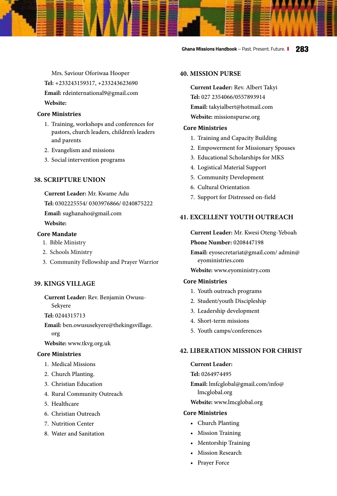Mrs. Saviour Oforiwaa Hooper **Tel:** +233243159317, +233243623690 **Email:** rdeinternational9@gmail.com **Website:**

# **Core Ministries**

- 1. Training, workshops and conferences for pastors, church leaders, children's leaders and parents
- 2. Evangelism and missions
- 3. Social intervention programs

# **38. SCRIPTURE UNION**

**Current Leader:** Mr. Kwame Adu

**Tel:** 0302225554/ 0303976866/ 0240875222

**Email:** sughanaho@gmail.com

# **Website:**

# **Core Mandate**

- 1. Bible Ministry
- 2. Schools Ministry
- 3. Community Fellowship and Prayer Warrior

#### **[39. KINGS VILLAGE](https://www.tkvg.org.uk
)**

**Current Leader:** Rev. Benjamin Owusu-Sekyere

**Tel:** 0244315713

**Email:** ben.owususekyere@thekingsvillage. org

**Website:** [www.tkvg.org.uk](http:// www.capromissions.org)

#### **Core Ministries**

- 1. Medical Missions
- 2. Church Planting.
- 3. Christian Education
- 4. Rural Community Outreach
- 5. Healthcare
- 6. Christian Outreach
- 7. Nutrition Center
- 8. Water and Sanitation

#### **[40. MISSION PURSE](http://missionspurse.org)**

**Current Leader:** Rev. Albert Takyi **Tel:** 027 2354066/0557893914 **Email:** takyialbert@hotmail.com **Website:** [missionspurse.org](http://missionspurse.org)

#### **Core Ministries**

- 1. Training and Capacity Building
- 2. Empowerment for Missionary Spouses
- 3. Educational Scholarships for MKS
- 4. Logistical Material Support
- 5. Community Development
- 6. Cultural Orientation
- 7. Support for Distressed on-field

#### **[41. EXCELLENT YOUTH OUTREACH](http://www.eyoministry.com  )**

**Current Leader:** Mr. Kwesi Oteng-Yeboah **Phone Number:** 0208447198

**Email:** eyosecretariat@gmail.com/ admin@ eyoministries.com

**Website:** [www.eyoministry.com](http://www.eyoministry.com  ) 

#### **Core Ministries**

- 1. Youth outreach programs
- 2. Student/youth Discipleship
- 3. Leadership development
- 4. Short-term missions
- 5. Youth camps/conferences

# **[42. LIBERATION MISSION FOR CHRIST](http://www.lmcglobal.org)**

#### **Current Leader:**

#### **Tel:** 0264974495

- **Email:** lmfcglobal@gmail.com/info@ lmcglobal.org
- **Website:** [www.lmcglobal.org](http://www.lmcglobal.org)

- Church Planting
- Mission Training
- Mentorship Training
- Mission Research
- Prayer Force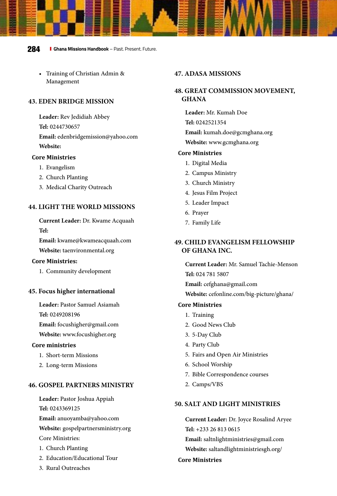• Training of Christian Admin & Management

#### **43. EDEN BRIDGE MISSION**

**Leader:** Rev Jedidiah Abbey **Tel:** 0244730657 **Email:** edenbridgemission@yahoo.com **Website:**

#### **Core Ministries**

- 1. Evangelism
- 2. Church Planting
- 3. Medical Charity Outreach

# **[44. LIGHT THE WORLD MISSIONS](http://www.taenvironmental.org )**

**Current Leader:** Dr. Kwame Acquaah **Tel:** 

**Email:** kwame@kwameacquaah.com **Website:** [taenvironmental.org](http://www.taenvironmental.org )

#### **Core Ministries:**

1. Community development

#### **[45. Focus higher international](http://www.focushigher.org )**

**Leader:** Pastor Samuel Asiamah **Tel:** 0249208196

**Email:** focushigher@gmail.com

# **Website:** [www.focushigher.org](http://www.focushigher.org )

#### **Core ministries**

- 1. Short-term Missions
- 2. Long-term Missions

#### **[46. GOSPEL PARTNERS MINISTRY](http://gospelpartnersministry.org )**

**Leader:** Pastor Joshua Appiah **Tel:** 0243369125 **Email:** anuoyamba@yahoo.com **Website:** [gospelpartnersministry.org](http://gospelpartnersministry.org ) Core Ministries:

- 1. Church Planting
- 2. Education/Educational Tour
- 3. Rural Outreaches

# **47. ADASA MISSIONS**

# **[48. GREAT COMMISSION MOVEMENT,](http://www.gcmghana.org)  [GHANA](http://www.gcmghana.org)**

**Leader:** Mr. Kumah Doe **Tel:** 0242521354 **Email:** kumah.doe@gcmghana.org **Website:** [www.gcmghana.org](http://www.gcmghana.org)

#### **Core Ministries**

- 1. Digital Media
- 2. Campus Ministry
- 3. Church Ministry
- 4. Jesus Film Project
- 5. Leader Impact
- 6. Prayer
- 7. Family Life

# **[49. CHILD EVANGELISM FELLOWSHIP](http://cefonline.com/big-picture/ghana/ )  [OF GHANA INC.](http://cefonline.com/big-picture/ghana/ )**

**Current Leader:** Mr. Samuel Tachie-Menson **Tel:** 024 781 5807

**Email:** cefghana@gmail.com

**Website:** [cefonline.com/big-picture/ghana/](http://cefonline.com/big-picture/ghana/ ) 

#### **Core Ministries**

- 1. Training
- 2. Good News Club
- 3. 5-Day Club
- 4. Party Club
- 5. Fairs and Open Air Ministries
- 6. School Worship
- 7. Bible Correspondence courses
- 2. Camps/VBS

#### **[50. SALT AND LIGHT MINISTRIES](http:// saltandlightministriesgh.org/  )**

**Current Leader:** Dr. Joyce Rosalind Aryee **Tel:** +233 26 813 0615 **Email:** saltnlightministries@gmail.com **Website:** [saltandlightministriesgh.org/](http:// saltandlightministriesgh.org/  )  **Core Ministries**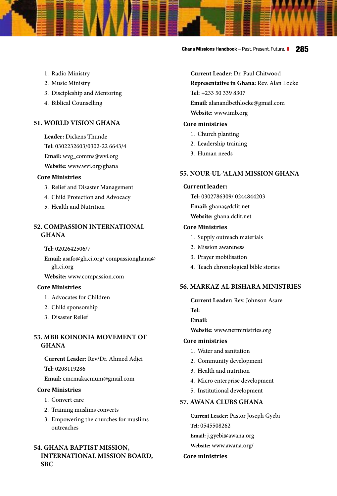**Ghana Missions Handbook** – Past. Present. Future. **285**

- 1. Radio Ministry
- 2. Music Ministry
- 3. Discipleship and Mentoring
- 4. Biblical Counselling

# **[51. WORLD VISION GHANA](http://www.wvi.org/ghana )**

**Leader:** Dickens Thunde **Tel:** 0302232603/0302-22 6643/4 **Email:** wvg\_comms@wvi.org **Website:** [www.wvi.org/ghana](http://www.wvi.org/ghana )

# **Core Ministries**

- 3. Relief and Disaster Management
- 4. Child Protection and Advocacy
- 5. Health and Nutrition

# **[52. COMPASSION INTERNATIONAL](http://www.compassion.com )  [GHANA](http://www.compassion.com )**

**Tel:** 0202642506/7

**Email:** asafo@gh.ci.org/ compassionghana@ gh.ci.org

**Website:** [www.compassion.com](http://www.compassion.com )

#### **Core Ministries**

- 1. Advocates for Children
- 2. Child sponsorship
- 3. Disaster Relief

# **53. MBB KOINONIA MOVEMENT OF GHANA**

**Current Leader:** Rev/Dr. Ahmed Adjei **Tel:** 0208119286

**Email:** cmcmakacmum@gmail.com

#### **Core Ministries**

- 1. Convert care
- 2. Training muslims converts
- 3. Empowering the churches for muslims outreaches

# **[54. GHANA BAPTIST MISSION,](http://www.imb.org )  [INTERNATIONAL MISSION BOARD,](http://www.imb.org )  [SBC](http://www.imb.org )**

**Current Leader**: Dr. Paul Chitwood **Representative in Ghana:** Rev. Alan Locke **Tel:** +233 50 339 8307 **Email:** alanandbethlocke@gmail.com **Website:** [www.imb.org](http://www.imb.org )

#### **Core ministries**

- 1. Church planting
- 2. Leadership training
- 3. Human needs

#### **[55. NOUR-UL-'ALAM MISSION GHANA](http://ghana.dclit.net )**

#### **Current leader:**

**Tel:** 0302786309/ 0244844203 **Email:** ghana@dclit.net **Website:** [ghana.dclit.net](http://ghana.dclit.net )

#### **Core Ministries**

- 1. Supply outreach materials
- 2. Mission awareness
- 3. Prayer mobilisation
- 4. Teach chronological bible stories

# **[56. MARKAZ AL BISHARA MINISTRIES](http://www.netministries.org  )**

**Current Leader:** Rev. Johnson Asare

**Tel:** 

**Email:**

**Website:** [www.netministries.org](http://www.netministries.org  ) 

#### **Core ministries**

- 1. Water and sanitation
- 2. Community development
- 3. Health and nutrition
- 4. Micro enterprise development
- 5. Institutional development

#### **[57. AWANA CLUBS GHANA](http://www.awana.org/ )**

**Current Leader:** Pastor Joseph Gyebi **Tel:** 0545508262 **Email:** j.gyebi@awana.org **Website:** [www.awana.org/](http://www.awana.org/ )